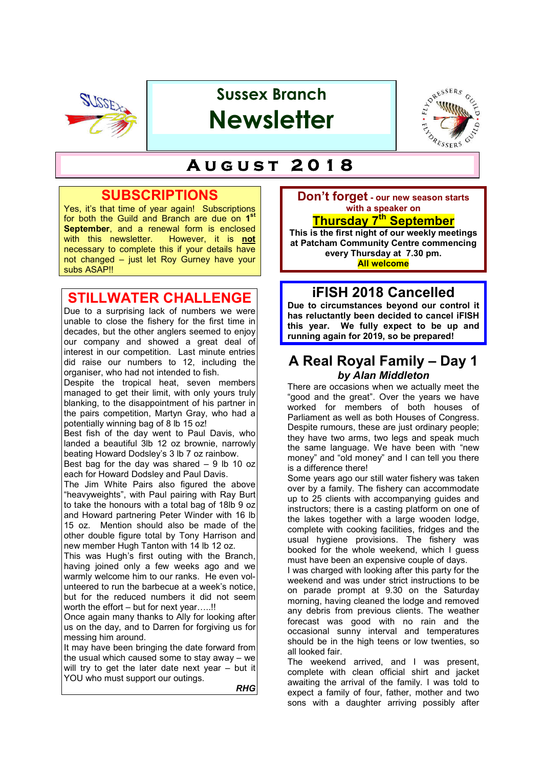

# **Sussex Branch Newsletter**



## $A$ UGUST 2018

## **SUBSCRIPTIONS**

Yes, it's that time of year again! Subscriptions for both the Guild and Branch are due on **1st September**, and a renewal form is enclosed with this newsletter. However, it is **not** with this newsletter. necessary to complete this if your details have not changed – just let Roy Gurney have your subs ASAP!!

## **STILLWATER CHALLENGE**

Due to a surprising lack of numbers we were unable to close the fishery for the first time in decades, but the other anglers seemed to enjoy our company and showed a great deal of interest in our competition. Last minute entries did raise our numbers to 12, including the organiser, who had not intended to fish.

Despite the tropical heat, seven members managed to get their limit, with only yours truly blanking, to the disappointment of his partner in the pairs competition, Martyn Gray, who had a potentially winning bag of 8 lb 15 oz!

Best fish of the day went to Paul Davis, who landed a beautiful 3lb 12 oz brownie, narrowly beating Howard Dodsley's 3 lb 7 oz rainbow.

Best bag for the day was shared  $-9$  lb 10 oz each for Howard Dodsley and Paul Davis.

The Jim White Pairs also figured the above "heavyweights", with Paul pairing with Ray Burt to take the honours with a total bag of 18lb 9 oz and Howard partnering Peter Winder with 16 lb 15 oz. Mention should also be made of the other double figure total by Tony Harrison and new member Hugh Tanton with 14 lb 12 oz.

This was Hugh's first outing with the Branch, having joined only a few weeks ago and we warmly welcome him to our ranks. He even volunteered to run the barbecue at a week's notice, but for the reduced numbers it did not seem worth the effort – but for next year…..!!

Once again many thanks to Ally for looking after us on the day, and to Darren for forgiving us for messing him around.

It may have been bringing the date forward from the usual which caused some to stay away – we will try to get the later date next year – but it YOU who must support our outings.

*RHG*

**Don't forget - our new season starts with a speaker on**

## **Thursday 7th September**

**This is the first night of our weekly meetings at Patcham Community Centre commencing every Thursday at 7.30 pm. All welcome**

## **iFISH 2018 Cancelled**

**Due to circumstances beyond our control it has reluctantly been decided to cancel iFISH this year. We fully expect to be up and running again for 2019, so be prepared!**

## **A Real Royal Family – Day 1** *by Alan Middleton*

There are occasions when we actually meet the "good and the great". Over the years we have worked for members of both houses of Parliament as well as both Houses of Congress. Despite rumours, these are just ordinary people; they have two arms, two legs and speak much the same language. We have been with "new money" and "old money" and I can tell you there is a difference there!

Some years ago our still water fishery was taken over by a family. The fishery can accommodate up to 25 clients with accompanying guides and instructors; there is a casting platform on one of the lakes together with a large wooden lodge, complete with cooking facilities, fridges and the usual hygiene provisions. The fishery was booked for the whole weekend, which I guess must have been an expensive couple of days.

I was charged with looking after this party for the weekend and was under strict instructions to be on parade prompt at 9.30 on the Saturday morning, having cleaned the lodge and removed any debris from previous clients. The weather forecast was good with no rain and the occasional sunny interval and temperatures should be in the high teens or low twenties, so all looked fair.

The weekend arrived, and I was present, complete with clean official shirt and jacket awaiting the arrival of the family. I was told to expect a family of four, father, mother and two sons with a daughter arriving possibly after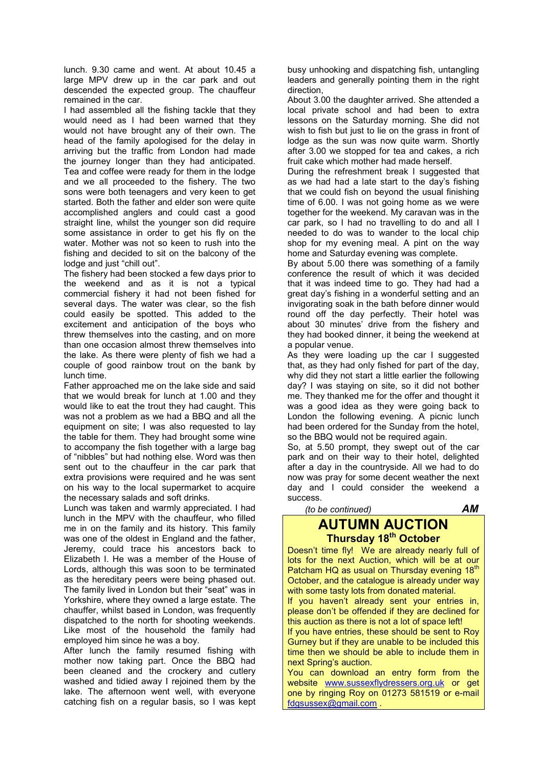lunch. 9.30 came and went. At about 10.45 a large MPV drew up in the car park and out descended the expected group. The chauffeur remained in the car.

I had assembled all the fishing tackle that they would need as I had been warned that they would not have brought any of their own. The head of the family apologised for the delay in arriving but the traffic from London had made the journey longer than they had anticipated. Tea and coffee were ready for them in the lodge and we all proceeded to the fishery. The two sons were both teenagers and very keen to get started. Both the father and elder son were quite accomplished anglers and could cast a good straight line, whilst the younger son did require some assistance in order to get his fly on the water. Mother was not so keen to rush into the fishing and decided to sit on the balcony of the lodge and just "chill out".

The fishery had been stocked a few days prior to the weekend and as it is not a typical commercial fishery it had not been fished for several days. The water was clear, so the fish could easily be spotted. This added to the excitement and anticipation of the boys who threw themselves into the casting, and on more than one occasion almost threw themselves into the lake. As there were plenty of fish we had a couple of good rainbow trout on the bank by lunch time.

Father approached me on the lake side and said that we would break for lunch at 1.00 and they would like to eat the trout they had caught. This was not a problem as we had a BBQ and all the equipment on site; I was also requested to lay the table for them. They had brought some wine to accompany the fish together with a large bag of "nibbles" but had nothing else. Word was then sent out to the chauffeur in the car park that extra provisions were required and he was sent on his way to the local supermarket to acquire the necessary salads and soft drinks.

Lunch was taken and warmly appreciated. I had lunch in the MPV with the chauffeur, who filled me in on the family and its history. This family was one of the oldest in England and the father, Jeremy, could trace his ancestors back to Elizabeth I. He was a member of the House of Lords, although this was soon to be terminated as the hereditary peers were being phased out. The family lived in London but their "seat" was in Yorkshire, where they owned a large estate. The chauffer, whilst based in London, was frequently dispatched to the north for shooting weekends. Like most of the household the family had employed him since he was a boy.

After lunch the family resumed fishing with mother now taking part. Once the BBQ had been cleaned and the crockery and cutlery washed and tidied away I rejoined them by the lake. The afternoon went well, with everyone catching fish on a regular basis, so I was kept

busy unhooking and dispatching fish, untangling leaders and generally pointing them in the right direction,

About 3.00 the daughter arrived. She attended a local private school and had been to extra lessons on the Saturday morning. She did not wish to fish but just to lie on the grass in front of lodge as the sun was now quite warm. Shortly after 3.00 we stopped for tea and cakes, a rich fruit cake which mother had made herself.

During the refreshment break I suggested that as we had had a late start to the day's fishing that we could fish on beyond the usual finishing time of 6.00. I was not going home as we were together for the weekend. My caravan was in the car park, so I had no travelling to do and all I needed to do was to wander to the local chip shop for my evening meal. A pint on the way home and Saturday evening was complete.

By about 5.00 there was something of a family conference the result of which it was decided that it was indeed time to go. They had had a great day's fishing in a wonderful setting and an invigorating soak in the bath before dinner would round off the day perfectly. Their hotel was about 30 minutes' drive from the fishery and they had booked dinner, it being the weekend at a popular venue.

As they were loading up the car I suggested that, as they had only fished for part of the day, why did they not start a little earlier the following day? I was staying on site, so it did not bother me. They thanked me for the offer and thought it was a good idea as they were going back to London the following evening. A picnic lunch had been ordered for the Sunday from the hotel, so the BBQ would not be required again.

So, at 5.50 prompt, they swept out of the car park and on their way to their hotel, delighted after a day in the countryside. All we had to do now was pray for some decent weather the next day and I could consider the weekend a success.

 *(to be continued) AM*

### **AUTUMN AUCTION Thursday 18<sup>th</sup> October**

Doesn't time fly! We are already nearly full of lots for the next Auction, which will be at our Patcham HQ as usual on Thursday evening 18<sup>th</sup> October, and the catalogue is already under way with some tasty lots from donated material.

If you haven't already sent your entries in, please don't be offended if they are declined for this auction as there is not a lot of space left!

If you have entries, these should be sent to Roy Gurney but if they are unable to be included this time then we should be able to include them in next Spring's auction.

You can download an entry form from the website www.sussexflydressers.org.uk or get one by ringing Roy on 01273 581519 or e-mail fdgsussex@gmail.com .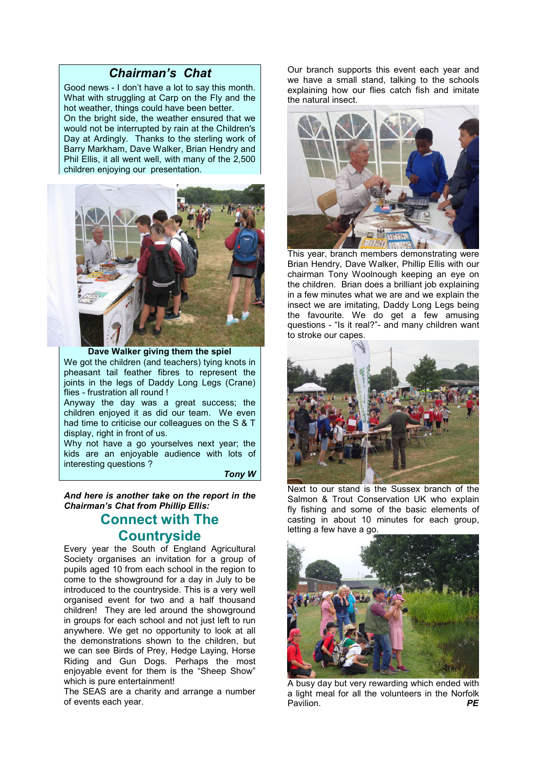#### *Chairman's Chat*

Good news - I don't have a lot to say this month. What with struggling at Carp on the Fly and the hot weather, things could have been better. On the bright side, the weather ensured that we would not be interrupted by rain at the Children's Day at Ardingly. Thanks to the sterling work of Barry Markham, Dave Walker, Brian Hendry and Phil Ellis, it all went well, with many of the 2,500 children enjoying our presentation.



**Dave Walker giving them the spiel** We got the children (and teachers) tying knots in pheasant tail feather fibres to represent the joints in the legs of Daddy Long Legs (Crane) flies - frustration all round !

Anyway the day was a great success; the children enjoyed it as did our team. We even had time to criticise our colleagues on the S & T display, right in front of us.

Why not have a go yourselves next year; the kids are an enjoyable audience with lots of interesting questions ?

*Tony W*

*And here is another take on the report in the Chairman's Chat from Phillip Ellis:*

## **Connect with The Countryside**

Every year the South of England Agricultural Society organises an invitation for a group of pupils aged 10 from each school in the region to come to the showground for a day in July to be introduced to the countryside. This is a very well organised event for two and a half thousand children! They are led around the showground in groups for each school and not just left to run anywhere. We get no opportunity to look at all the demonstrations shown to the children, but we can see Birds of Prey, Hedge Laying, Horse Riding and Gun Dogs. Perhaps the most enjoyable event for them is the "Sheep Show" which is pure entertainment!

The SEAS are a charity and arrange a number of events each year.

Our branch supports this event each year and we have a small stand, talking to the schools explaining how our flies catch fish and imitate the natural insect.



This year, branch members demonstrating were Brian Hendry, Dave Walker, Phillip Ellis with our chairman Tony Woolnough keeping an eye on the children. Brian does a brilliant job explaining in a few minutes what we are and we explain the insect we are imitating, Daddy Long Legs being the favourite. We do get a few amusing questions - "Is it real?"- and many children want to stroke our capes.



Next to our stand is the Sussex branch of the Salmon & Trout Conservation UK who explain fly fishing and some of the basic elements of casting in about 10 minutes for each group, letting a few have a go.



A busy day but very rewarding which ended with a light meal for all the volunteers in the Norfolk Pavilion. *PE*